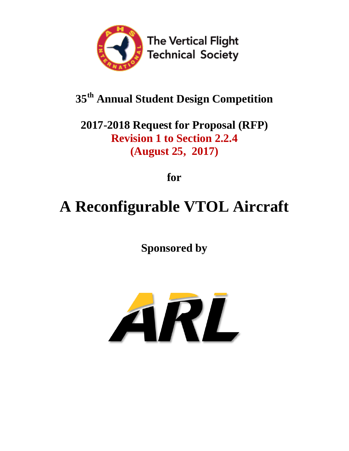

## **35th Annual Student Design Competition**

**2017-2018 Request for Proposal (RFP) Revision 1 to Section 2.2.4 (August 25, 2017)**

**for**

# **A Reconfigurable VTOL Aircraft**

**Sponsored by**

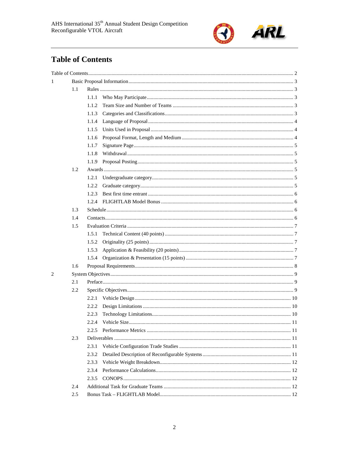

## <span id="page-1-0"></span>**Table of Contents**

| 1 |     |       |  |  |  |  |
|---|-----|-------|--|--|--|--|
|   | 1.1 |       |  |  |  |  |
|   |     | 1.1.1 |  |  |  |  |
|   |     | 1.1.2 |  |  |  |  |
|   |     | 1.1.3 |  |  |  |  |
|   |     | 1.1.4 |  |  |  |  |
|   |     | 1.1.5 |  |  |  |  |
|   |     | 1.1.6 |  |  |  |  |
|   |     | 1.1.7 |  |  |  |  |
|   |     | 1.1.8 |  |  |  |  |
|   |     | 1.1.9 |  |  |  |  |
|   | 1.2 |       |  |  |  |  |
|   |     | 1.2.1 |  |  |  |  |
|   |     | 1.2.2 |  |  |  |  |
|   |     | 1.2.3 |  |  |  |  |
|   |     | 1.2.4 |  |  |  |  |
|   | 1.3 |       |  |  |  |  |
|   | 1.4 |       |  |  |  |  |
|   | 1.5 |       |  |  |  |  |
|   |     | 1.5.1 |  |  |  |  |
|   |     | 1.5.2 |  |  |  |  |
|   |     | 1.5.3 |  |  |  |  |
|   |     | 1.5.4 |  |  |  |  |
|   | 1.6 |       |  |  |  |  |
| 2 |     |       |  |  |  |  |
|   | 2.1 |       |  |  |  |  |
|   | 2.2 |       |  |  |  |  |
|   |     | 2.2.1 |  |  |  |  |
|   |     | 2.2.2 |  |  |  |  |
|   |     | 2.2.3 |  |  |  |  |
|   |     | 2.2.4 |  |  |  |  |
|   |     | 2.2.5 |  |  |  |  |
|   | 2.3 |       |  |  |  |  |
|   |     | 2.3.1 |  |  |  |  |
|   |     | 2.3.2 |  |  |  |  |
|   |     | 2.3.3 |  |  |  |  |
|   |     | 2.3.4 |  |  |  |  |
|   |     | 2.3.5 |  |  |  |  |
|   | 2.4 |       |  |  |  |  |
|   | 2.5 |       |  |  |  |  |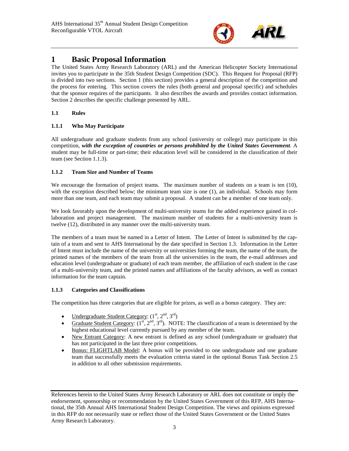

### <span id="page-2-0"></span>**1 Basic Proposal Information**

The United States Army Research Laboratory (ARL) and the American Helicopter Society International invites you to participate in the 35th Student Design Competition (SDC). This Request for Proposal (RFP) is divided into two sections. Section 1 (this section) provides a general description of the competition and the process for entering. This section covers the rules (both general and proposal specific) and schedules that the sponsor requires of the participants. It also describes the awards and provides contact information. Section 2 describes the specific challenge presented by ARL.

#### <span id="page-2-1"></span>**1.1 Rules**

#### <span id="page-2-2"></span>**1.1.1 Who May Participate**

All undergraduate and graduate students from any school (university or college) may participate in this competition, *with the exception of countries or persons prohibited by the United States Government*. A student may be full-time or part-time; their education level will be considered in the classification of their team (see Section [1.1.3\)](#page-2-4).

#### <span id="page-2-3"></span>**1.1.2 Team Size and Number of Teams**

We encourage the formation of project teams. The maximum number of students on a team is ten (10), with the exception described below; the minimum team size is one (1), an individual. Schools may form more than one team, and each team may submit a proposal. A student can be a member of one team only.

We look favorably upon the development of multi-university teams for the added experience gained in collaboration and project management. The maximum number of students for a multi-university team is twelve (12), distributed in any manner over the multi-university team.

The members of a team must be named in a Letter of Intent. The Letter of Intent is submitted by the captain of a team and sent to AHS International by the date specified in Section [1.3.](#page-5-2) Information in the Letter of Intent must include the name of the university or universities forming the team, the name of the team, the printed names of the members of the team from all the universities in the team, the e-mail addresses and education level (undergraduate or graduate) of each team member, the affiliation of each student in the case of a multi-university team, and the printed names and affiliations of the faculty advisors, as well as contact information for the team captain.

#### <span id="page-2-4"></span>**1.1.3 Categories and Classifications**

The competition has three categories that are eligible for prizes, as well as a bonus category. They are:

- Undergraduate Student Category:  $(1<sup>st</sup>, 2<sup>nd</sup>, 3<sup>rd</sup>)$
- Graduate Student Category:  $(1^{st}, 2^{nd}, 3^{rd})$ . NOTE: The classification of a team is determined by the highest educational level currently pursued by any member of the team.
- New Entrant Category: A new entrant is defined as any school (undergraduate or graduate) that has not participated in the last three prior competitions.
- Bonus: FLIGHTLAB Model: A bonus will be provided to one undergraduate and one graduate team that successfully meets the evaluation criteria stated in the optional Bonus Task Section [2.5](#page-11-4) in addition to all other submission requirements.

References herein to the United States Army Research Laboratory or ARL does not constitute or imply the endorsement, sponsorship or recommendation by the United States Government of this RFP, AHS International, the 35th Annual AHS International Student Design Competition. The views and opinions expressed in this RFP do not necessarily state or reflect those of the United States Government or the United States Army Research Laboratory.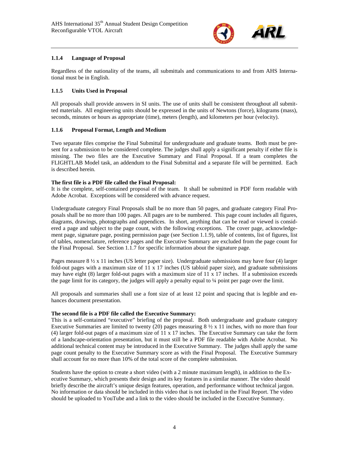

#### <span id="page-3-0"></span>**1.1.4 Language of Proposal**

Regardless of the nationality of the teams, all submittals and communications to and from AHS International must be in English.

#### <span id="page-3-1"></span>**1.1.5 Units Used in Proposal**

All proposals shall provide answers in SI units. The use of units shall be consistent throughout all submitted materials. All engineering units should be expressed in the units of Newtons (force), kilograms (mass), seconds, minutes or hours as appropriate (time), meters (length), and kilometers per hour (velocity).

#### <span id="page-3-2"></span>**1.1.6 Proposal Format, Length and Medium**

Two separate files comprise the Final Submittal for undergraduate and graduate teams. Both must be present for a submission to be considered complete. The judges shall apply a significant penalty if either file is missing. The two files are the Executive Summary and Final Proposal. If a team completes the FLIGHTLAB Model task, an addendum to the Final Submittal and a separate file will be permitted. Each is described herein.

#### **The first file is a PDF file called the Final Proposal:**

It is the complete, self-contained proposal of the team. It shall be submitted in PDF form readable with Adobe Acrobat. Exceptions will be considered with advance request.

Undergraduate category Final Proposals shall be no more than 50 pages, and graduate category Final Proposals shall be no more than 100 pages. All pages are to be numbered. This page count includes all figures, diagrams, drawings, photographs and appendices. In short, anything that can be read or viewed is considered a page and subject to the page count, with the following exceptions. The cover page, acknowledgement page, signature page, posting permission page (see Section [1.1.9\)](#page-4-2), table of contents, list of figures, list of tables, nomenclature, reference pages and the Executive Summary are excluded from the page count for the Final Proposal. See Section 1.1.7 for specific information about the signature page.

Pages measure  $8\frac{1}{2}$  x 11 inches (US letter paper size). Undergraduate submissions may have four (4) larger fold-out pages with a maximum size of 11 x 17 inches (US tabloid paper size), and graduate submissions may have eight  $(8)$  larger fold-out pages with a maximum size of 11 x 17 inches. If a submission exceeds the page limit for its category, the judges will apply a penalty equal to ¼ point per page over the limit.

All proposals and summaries shall use a font size of at least 12 point and spacing that is legible and enhances document presentation.

#### **The second file is a PDF file called the Executive Summary:**

This is a self-contained "executive" briefing of the proposal. Both undergraduate and graduate category Executive Summaries are limited to twenty (20) pages measuring  $8\frac{1}{2} \times 11$  inches, with no more than four (4) larger fold-out pages of a maximum size of 11 x 17 inches. The Executive Summary can take the form of a landscape-orientation presentation, but it must still be a PDF file readable with Adobe Acrobat. No additional technical content may be introduced in the Executive Summary. The judges shall apply the same page count penalty to the Executive Summary score as with the Final Proposal. The Executive Summary shall account for no more than 10% of the total score of the complete submission.

Students have the option to create a short video (with a 2 minute maximum length), in addition to the Executive Summary, which presents their design and its key features in a similar manner. The video should briefly describe the aircraft's unique design features, operation, and performance without technical jargon. No information or data should be included in this video that is not included in the Final Report. The video should be uploaded to YouTube and a link to the video should be included in the Executive Summary.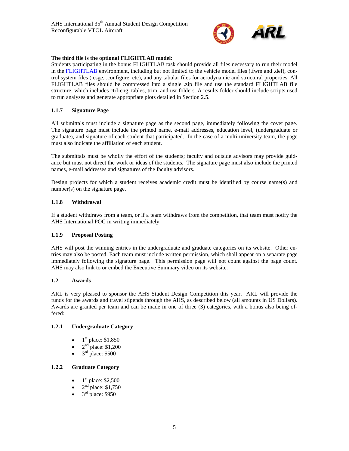

#### **The third file is the optional FLIGHTLAB model:**

Students participating in the bonus FLIGHTLAB task should provide all files necessary to run their model in the [FLIGHTLAB](https://www.flightlab.com/flightlab.html) environment, including but not limited to the vehicle model files (.fwm and .def), control system files (.csge, .configure, etc), and any tabular files for aerodynamic and structural properties. All FLIGHTLAB files should be compressed into a single .zip file and use the standard FLIGHTLAB file structure, which includes ctrl-eng, tables, trim, and usr folders. A results folder should include scripts used to run analyses and generate appropriate plots detailed in Sectio[n 2.5.](#page-11-4)

#### <span id="page-4-0"></span>**1.1.7 Signature Page**

All submittals must include a signature page as the second page, immediately following the cover page. The signature page must include the printed name, e-mail addresses, education level, (undergraduate or graduate), and signature of each student that participated. In the case of a multi-university team, the page must also indicate the affiliation of each student.

The submittals must be wholly the effort of the students; faculty and outside advisors may provide guidance but must not direct the work or ideas of the students. The signature page must also include the printed names, e-mail addresses and signatures of the faculty advisors.

Design projects for which a student receives academic credit must be identified by course name(s) and number(s) on the signature page.

#### <span id="page-4-1"></span>**1.1.8 Withdrawal**

If a student withdraws from a team, or if a team withdraws from the competition, that team must notify the AHS International POC in writing immediately.

#### <span id="page-4-2"></span>**1.1.9 Proposal Posting**

AHS will post the winning entries in the undergraduate and graduate categories on its website. Other entries may also be posted. Each team must include written permission, which shall appear on a separate page immediately following the signature page. This permission page will not count against the page count. AHS may also link to or embed the Executive Summary video on its website.

#### <span id="page-4-3"></span>**1.2 Awards**

ARL is very pleased to sponsor the AHS Student Design Competition this year. ARL will provide the funds for the awards and travel stipends through the AHS, as described below (all amounts in US Dollars). Awards are granted per team and can be made in one of three (3) categories, with a bonus also being offered:

#### <span id="page-4-4"></span>**1.2.1 Undergraduate Category**

- $1<sup>st</sup>$  place: \$1,850
- $2<sup>nd</sup>$  place: \$1,200
- $3<sup>rd</sup>$  place: \$500

#### <span id="page-4-5"></span>**1.2.2 Graduate Category**

- $1<sup>st</sup>$  place: \$2,500
- $2<sup>nd</sup>$  place: \$1,750
- $\frac{2}{3}$ rd place: \$950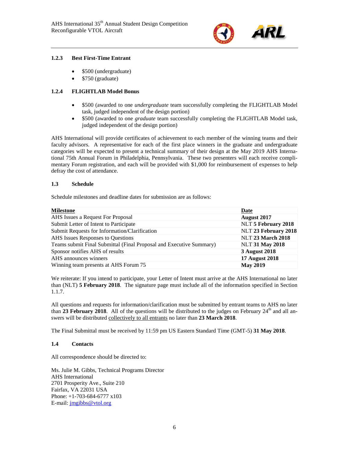

#### <span id="page-5-0"></span>**1.2.3 Best First-Time Entrant**

- \$500 (undergraduate)
- \$750 (graduate)

#### <span id="page-5-1"></span>**1.2.4 FLIGHTLAB Model Bonus**

- \$500 (awarded to one *undergraduate* team successfully completing the FLIGHTLAB Model task, judged independent of the design portion)
- \$500 (awarded to one *graduate* team successfully completing the FLIGHTLAB Model task, judged independent of the design portion)

AHS International will provide certificates of achievement to each member of the winning teams and their faculty advisors. A representative for each of the first place winners in the graduate and undergraduate categories will be expected to present a technical summary of their design at the May 2019 AHS International 75th Annual Forum in Philadelphia, Pennsylvania. These two presenters will each receive complimentary Forum registration, and each will be provided with \$1,000 for reimbursement of expenses to help defray the cost of attendance.

#### <span id="page-5-2"></span>**1.3 Schedule**

Schedule milestones and deadline dates for submission are as follows:

| <b>Milestone</b>                                                    | Date                     |
|---------------------------------------------------------------------|--------------------------|
| AHS Issues a Request For Proposal                                   | <b>August 2017</b>       |
| Submit Letter of Intent to Participate                              | NLT 5 February 2018      |
| Submit Requests for Information/Clarification                       | NLT 23 February 2018     |
| AHS Issues Responses to Questions                                   | <b>NLT 23 March 2018</b> |
| Teams submit Final Submittal (Final Proposal and Executive Summary) | <b>NLT 31 May 2018</b>   |
| Sponsor notifies AHS of results                                     | <b>3 August 2018</b>     |
| AHS announces winners                                               | <b>17 August 2018</b>    |
| Winning team presents at AHS Forum 75                               | <b>May 2019</b>          |

We reiterate: If you intend to participate, your Letter of Intent must arrive at the AHS International no later than (NLT) **5 February 2018**. The signature page must include all of the information specified in Section [1.1.7.](#page-4-0)

All questions and requests for information/clarification must be submitted by entrant teams to AHS no later than **23 February 2018**. All of the questions will be distributed to the judges on February 24<sup>th</sup> and all answers will be distributed collectively to all entrants no later than **23 March 2018**.

The Final Submittal must be received by 11:59 pm US Eastern Standard Time (GMT-5) **31 May 2018**.

#### <span id="page-5-3"></span>**1.4 Contacts**

All correspondence should be directed to:

Ms. Julie M. Gibbs, Technical Programs Director AHS International 2701 Prosperity Ave., Suite 210 Fairfax, VA 22031 USA Phone: +1-703-684-6777 x103 E-mail: [jmgibbs@vtol.org](mailto:jmgibbs@vtol.org)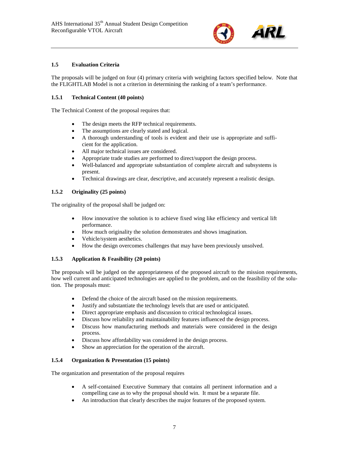

#### <span id="page-6-0"></span>**1.5 Evaluation Criteria**

The proposals will be judged on four (4) primary criteria with weighting factors specified below. Note that the FLIGHTLAB Model is not a criterion in determining the ranking of a team's performance.

#### <span id="page-6-1"></span>**1.5.1 Technical Content (40 points)**

The Technical Content of the proposal requires that:

- The design meets the RFP technical requirements.
- The assumptions are clearly stated and logical.
- A thorough understanding of tools is evident and their use is appropriate and sufficient for the application.
- All major technical issues are considered.
- Appropriate trade studies are performed to direct/support the design process.
- Well-balanced and appropriate substantiation of complete aircraft and subsystems is present.
- Technical drawings are clear, descriptive, and accurately represent a realistic design.

#### <span id="page-6-2"></span>**1.5.2 Originality (25 points)**

The originality of the proposal shall be judged on:

- How innovative the solution is to achieve fixed wing like efficiency and vertical lift performance.
- How much originality the solution demonstrates and shows imagination.
- Vehicle/system aesthetics.
- How the design overcomes challenges that may have been previously unsolved.

#### <span id="page-6-3"></span>**1.5.3 Application & Feasibility (20 points)**

The proposals will be judged on the appropriateness of the proposed aircraft to the mission requirements, how well current and anticipated technologies are applied to the problem, and on the feasibility of the solution. The proposals must:

- Defend the choice of the aircraft based on the mission requirements.
- Justify and substantiate the technology levels that are used or anticipated.
- Direct appropriate emphasis and discussion to critical technological issues.
- Discuss how reliability and maintainability features influenced the design process.
- Discuss how manufacturing methods and materials were considered in the design process.
- Discuss how affordability was considered in the design process.
- Show an appreciation for the operation of the aircraft.

#### <span id="page-6-4"></span>**1.5.4 Organization & Presentation (15 points)**

The organization and presentation of the proposal requires

- A self-contained Executive Summary that contains all pertinent information and a compelling case as to why the proposal should win. It must be a separate file.
- An introduction that clearly describes the major features of the proposed system.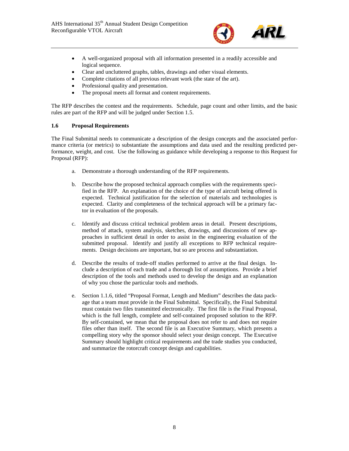

- A well-organized proposal with all information presented in a readily accessible and logical sequence.
- Clear and uncluttered graphs, tables, drawings and other visual elements.
- Complete citations of all previous relevant work (the state of the art).
- Professional quality and presentation.
- The proposal meets all format and content requirements.

The RFP describes the contest and the requirements. Schedule, page count and other limits, and the basic rules are part of the RFP and will be judged under Section 1.5.

#### <span id="page-7-0"></span>**1.6 Proposal Requirements**

The Final Submittal needs to communicate a description of the design concepts and the associated performance criteria (or metrics) to substantiate the assumptions and data used and the resulting predicted performance, weight, and cost. Use the following as guidance while developing a response to this Request for Proposal (RFP):

- a. Demonstrate a thorough understanding of the RFP requirements.
- b. Describe how the proposed technical approach complies with the requirements specified in the RFP. An explanation of the choice of the type of aircraft being offered is expected. Technical justification for the selection of materials and technologies is expected. Clarity and completeness of the technical approach will be a primary factor in evaluation of the proposals.
- c. Identify and discuss critical technical problem areas in detail. Present descriptions, method of attack, system analysis, sketches, drawings, and discussions of new approaches in sufficient detail in order to assist in the engineering evaluation of the submitted proposal. Identify and justify all exceptions to RFP technical requirements. Design decisions are important, but so are process and substantiation.
- d. Describe the results of trade-off studies performed to arrive at the final design. Include a description of each trade and a thorough list of assumptions. Provide a brief description of the tools and methods used to develop the design and an explanation of why you chose the particular tools and methods.
- <span id="page-7-1"></span>e. Section [1.1.6,](#page-3-2) titled "Proposal Format, Length and Medium" describes the data package that a team must provide in the Final Submittal. Specifically, the Final Submittal must contain two files transmitted electronically. The first file is the Final Proposal, which is the full length, complete and self-contained proposed solution to the RFP. By self-contained, we mean that the proposal does not refer to and does not require files other than itself. The second file is an Executive Summary, which presents a compelling story why the sponsor should select your design concept. The Executive Summary should highlight critical requirements and the trade studies you conducted, and summarize the rotorcraft concept design and capabilities.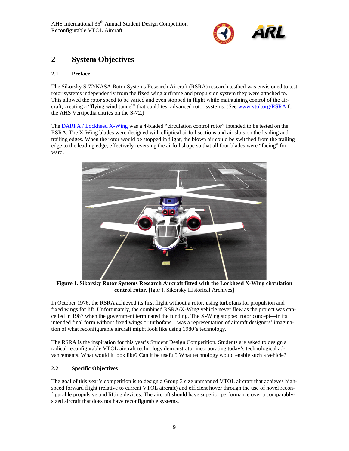

## **2 System Objectives**

#### <span id="page-8-0"></span>**2.1 Preface**

The Sikorsky S-72/NASA Rotor Systems Research Aircraft (RSRA) research testbed was envisioned to test rotor systems independently from the fixed wing airframe and propulsion system they were attached to. This allowed the rotor speed to be varied and even stopped in flight while maintaining control of the aircraft, creating a "flying wind tunnel" that could test advanced rotor systems. (See [www.vtol.org/RSRA](http://www.vtol.org/rsra) for the AHS Vertipedia entries on the S-72.)

The DARPA / [Lockheed X-Wing](http://www.sikorskyarchives.com/X-WING.php) was a 4-bladed "circulation control rotor" intended to be tested on the RSRA. The X-Wing blades were designed with elliptical airfoil sections and air slots on the leading and trailing edges. When the rotor would be stopped in flight, the blown air could be switched from the trailing edge to the leading edge, effectively reversing the airfoil shape so that all four blades were "facing" forward.



**Figure 1. Sikorsky Rotor Systems Research Aircraft fitted with the Lockheed X-Wing circulation control rotor.** [Igor I. Sikorsky Historical Archives]

In October 1976, the RSRA achieved its first flight without a rotor, using turbofans for propulsion and fixed wings for lift. Unfortunately, the combined RSRA/X-Wing vehicle never flew as the project was cancelled in 1987 when the government terminated the funding. The X-Wing stopped rotor concept—in its intended final form without fixed wings or turbofans—was a representation of aircraft designers' imagination of what reconfigurable aircraft might look like using 1980's technology.

The RSRA is the inspiration for this year's Student Design Competition. Students are asked to design a radical reconfigurable VTOL aircraft technology demonstrator incorporating today's technological advancements. What would it look like? Can it be useful? What technology would enable such a vehicle?

#### <span id="page-8-1"></span>**2.2 Specific Objectives**

The goal of this year's competition is to design a Group 3 size unmanned VTOL aircraft that achieves highspeed forward flight (relative to current VTOL aircraft) and efficient hover through the use of novel reconfigurable propulsive and lifting devices. The aircraft should have superior performance over a comparablysized aircraft that does not have reconfigurable systems.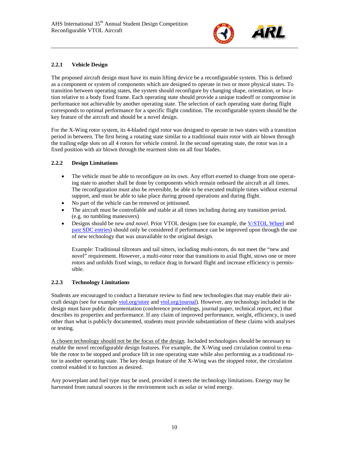

#### <span id="page-9-0"></span>**2.2.1 Vehicle Design**

The proposed aircraft design must have its main lifting device be a reconfigurable system. This is defined as a component or system of components which are designed to operate in two or more physical states. To transition between operating states, the system should reconfigure by changing shape, orientation, or location relative to a body fixed frame. Each operating state should provide a unique tradeoff or compromise in performance not achievable by another operating state. The selection of each operating state during flight corresponds to optimal performance for a specific flight condition. The reconfigurable system should be the key feature of the aircraft and should be a novel design.

For the X-Wing rotor system, its 4-bladed rigid rotor was designed to operate in two states with a transition period in between. The first being a rotating state similar to a traditional main rotor with air blown through the trailing edge slots on all 4 rotors for vehicle control. In the second operating state, the rotor was in a fixed position with air blown through the rearmost slots on all four blades.

#### <span id="page-9-1"></span>**2.2.2 Design Limitations**

- The vehicle must be able to reconfigure on its own. Any effort exerted to change from one operating state to another shall be done by components which remain onboard the aircraft at all times. The reconfiguration must also be reversible, be able to be executed multiple times without external support, and must be able to take place during ground operations and during flight.
- No part of the vehicle can be removed or jettisoned.
- The aircraft must be controllable and stable at all times including during any transition period. (e.g. no tumbling maneuvers)
- Designs should be *new and novel*. Prior VTOL designs (see for example, the [V/STOL Wheel](https://vertipedia.vtol.org/vstol/wheel.htm) and [past SDC entries\)](https://vtol.org/sdc) should only be considered if performance can be improved upon through the use of new technology that was unavailable to the original design.

Example: Traditional tiltrotors and tail sitters, including multi-rotors, do not meet the "new and novel" requirement. However, a multi-rotor rotor that transitions to axial flight, stows one or more rotors and unfolds fixed wings, to reduce drag in forward flight and increase efficiency is permissible.

#### <span id="page-9-2"></span>**2.2.3 Technology Limitations**

Students are encouraged to conduct a literature review to find new technologies that may enable their aircraft design (see for example [vtol.org/store](http://www.vtol.org/store) and vtol.org/journal). However, any technology included in the design must have public documentation (conference proceedings, journal paper, technical report, etc) that describes its properties and performance. If any claim of improved performance, weight, efficiency, is used other than what is publicly documented, students must provide substantiation of these claims with analyses or testing.

A chosen technology should not be the focus of the design. Included technologies should be necessary to enable the novel reconfigurable design features. For example, the X-Wing used circulation control to enable the rotor to be stopped and produce lift in one operating state while also performing as a traditional rotor in another operating state. The key design feature of the X-Wing was the stopped rotor, the circulation control enabled it to function as desired.

Any powerplant and fuel type may be used, provided it meets the technology limitations. Energy may be harvested from natural sources in the environment such as solar or wind energy.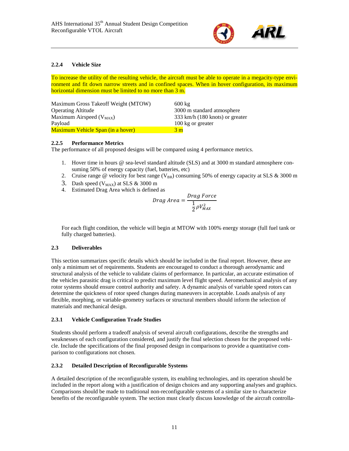

#### <span id="page-10-0"></span>**2.2.4 Vehicle Size**

To increase the utility of the resulting vehicle, the aircraft must be able to operate in a megacity-type environment and fit down narrow streets and in confined spaces. When in hover configuration, its maximum horizontal dimension must be limited to no more than 3 m.

| Maximum Gross Takeoff Weight (MTOW)      | $600 \text{ kg}$                          |
|------------------------------------------|-------------------------------------------|
| <b>Operating Altitude</b>                | 3000 m standard atmosphere                |
| Maximum Airspeed $(V_{MAX})$             | 333 km/h $(180 \text{ knots})$ or greater |
| Payload                                  | 100 kg or greater                         |
| <b>Maximum Vehicle Span (in a hover)</b> | 3 <sub>m</sub>                            |

#### <span id="page-10-1"></span>**2.2.5 Performance Metrics**

The performance of all proposed designs will be compared using 4 performance metrics.

- 1. Hover time in hours @ sea-level standard altitude (SLS) and at 3000 m standard atmosphere consuming 50% of energy capacity (fuel, batteries, etc)
- 2. Cruise range @ velocity for best range ( $V_{BR}$ ) consuming 50% of energy capacity at SLS & 3000 m
- 3. Dash speed  $(V_{MAX})$  at SLS & 3000 m
- 4. Estimated Drag Area which is defined as

$$
Drag \ Area = \frac{Drag \ Force}{\frac{1}{2}\rho V_{MAX}^2}
$$

For each flight condition, the vehicle will begin at MTOW with 100% energy storage (full fuel tank or fully charged batteries).

#### <span id="page-10-2"></span>**2.3 Deliverables**

This section summarizes specific details which should be included in the final report. However, these are only a minimum set of requirements. Students are encouraged to conduct a thorough aerodynamic and structural analysis of the vehicle to validate claims of performance. In particular, an accurate estimation of the vehicles parasitic drag is critical to predict maximum level flight speed. Aeromechanical analysis of any rotor systems should ensure control authority and safety. A dynamic analysis of variable speed rotors can determine the quickness of rotor speed changes during maneuvers in acceptable. Loads analysis of any flexible, morphing, or variable-geometry surfaces or structural members should inform the selection of materials and mechanical design.

#### <span id="page-10-3"></span>**2.3.1 Vehicle Configuration Trade Studies**

Students should perform a tradeoff analysis of several aircraft configurations, describe the strengths and weaknesses of each configuration considered, and justify the final selection chosen for the proposed vehicle. Include the specifications of the final proposed design in comparisons to provide a quantitative comparison to configurations not chosen.

#### <span id="page-10-4"></span>**2.3.2 Detailed Description of Reconfigurable Systems**

A detailed description of the reconfigurable system, its enabling technologies, and its operation should be included in the report along with a justification of design choices and any supporting analyses and graphics. Comparisons should be made to traditional non-reconfigurable systems of a similar size to characterize benefits of the reconfigurable system. The section must clearly discuss knowledge of the aircraft controlla-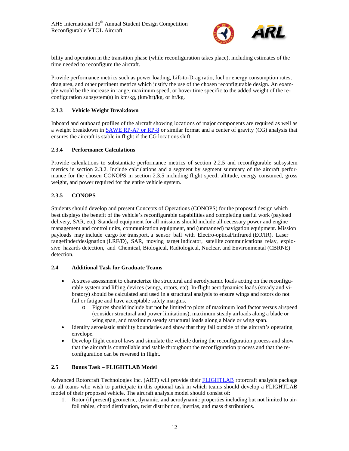

bility and operation in the transition phase (while reconfiguration takes place), including estimates of the time needed to reconfigure the aircraft.

Provide performance metrics such as power loading, Lift-to-Drag ratio, fuel or energy consumption rates, drag area, and other pertinent metrics which justify the use of the chosen reconfigurable design. An example would be the increase in range, maximum speed, or hover time specific to the added weight of the reconfiguration subsystem(s) in km/kg, (km/hr)/kg, or hr/kg.

#### <span id="page-11-0"></span>**2.3.3 Vehicle Weight Breakdown**

Inboard and outboard profiles of the aircraft showing locations of major components are required as well as a weight breakdown in [SAWE RP-A7 or RP-8](https://www.sawe.org/technical/rp/sawe_rp_a-7_2015) or similar format and a center of gravity (CG) analysis that ensures the aircraft is stable in flight if the CG locations shift.

#### <span id="page-11-1"></span>**2.3.4 Performance Calculations**

Provide calculations to substantiate performance metrics of section [2.2.5](#page-10-1) and reconfigurable subsystem metrics in section [2.3.2.](#page-10-4) Include calculations and a segment by segment summary of the aircraft performance for the chosen CONOPS in section [2.3.5](#page-11-2) including flight speed, altitude, energy consumed, gross weight, and power required for the entire vehicle system.

#### <span id="page-11-2"></span>**2.3.5 CONOPS**

Students should develop and present Concepts of Operations (CONOPS) for the proposed design which best displays the benefit of the vehicle's reconfigurable capabilities and completing useful work (payload delivery, SAR, etc). Standard equipment for all missions should include all necessary power and engine management and control units, communication equipment, and (unmanned) navigation equipment. Mission payloads may include cargo for transport, a sensor ball with Electro-optical/Infrared (EO/IR), Laser rangefinder/designation (LRF/D), SAR, moving target indicator, satellite communications relay, explosive hazards detection, and Chemical, Biological, Radiological, Nuclear, and Environmental (CBRNE) detection.

#### <span id="page-11-3"></span>**2.4 Additional Task for Graduate Teams**

- A stress assessment to characterize the structural and aerodynamic loads acting on the reconfigurable system and lifting devices (wings, rotors, etc). In-flight aerodynamics loads (steady and vibratory) should be calculated and used in a structural analysis to ensure wings and rotors do not fail or fatigue and have acceptable safety margins.
	- o Figures should include but not be limited to plots of maximum load factor versus airspeed (consider structural and power limitations), maximum steady airloads along a blade or wing span, and maximum steady structural loads along a blade or wing span.
- Identify aeroelastic stability boundaries and show that they fall outside of the aircraft's operating envelope.
- Develop flight control laws and simulate the vehicle during the reconfiguration process and show that the aircraft is controllable and stable throughout the reconfiguration process and that the reconfiguration can be reversed in flight.

#### <span id="page-11-4"></span>**2.5 Bonus Task – FLIGHTLAB Model**

Advanced Rotorcraft Technologies Inc. (ART) will provide their [FLIGHTLAB](https://www.flightlab.com/flightlab.html) rotorcraft analysis package to all teams who wish to participate in this optional task in which teams should develop a FLIGHTLAB model of their proposed vehicle. The aircraft analysis model should consist of:

1. Rotor (if present) geometric, dynamic, and aerodynamic properties including but not limited to airfoil tables, chord distribution, twist distribution, inertias, and mass distributions.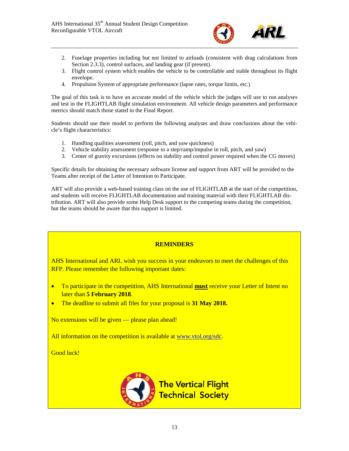

- 2. Fuselage properties including but not limited to airloads (consistent with drag calculations from Section [2.3.3\)](#page-11-0), control surfaces, and landing gear (if present).
- 3. Flight control system which enables the vehicle to be controllable and stable throughout its flight envelope.
- 4. Propulsion System of appropriate performance (lapse rates, torque limits, etc.)

The goal of this task is to have an accurate model of the vehicle which the judges will use to run analyses and test in the FLIGHTLAB flight simulation environment. All vehicle design parameters and performance metrics should match those stated in the Final Report.

Students should use their model to perform the following analyses and draw conclusions about the vehicle's flight characteristics:

- 1. Handling qualities assessment (roll, pitch, and yaw quickness)
- 2. Vehicle stability assessment (response to a step/ramp/impulse in roll, pitch, and yaw)
- 3. Center of gravity excursions (effects on stability and control power required when the CG moves)

Specific details for obtaining the necessary software license and support from ART will be provided to the Teams after receipt of the Letter of Intention to Participate.

ART will also provide a web-based training class on the use of FLIGHTLAB at the start of the competition, and students will receive FLIGHTLAB documentation and training material with their FLIGHTLAB distribution. ART will also provide some Help Desk support to the competing teams during the competition, but the teams should be aware that this support is limited.

#### **REMINDERS**

AHS International and ARL wish you success in your endeavors to meet the challenges of this RFP. Please remember the following important dates:

- To participate in the competition, AHS International **must** receive your Letter of Intent no later than **5 February 2018**.
- The deadline to submit all files for your proposal is **31 May 2018.**

No extensions will be given — please plan ahead!

All information on the competition is available at [www.vtol.org/sdc.](http://www.vtol.org/sdc)

Good luck!